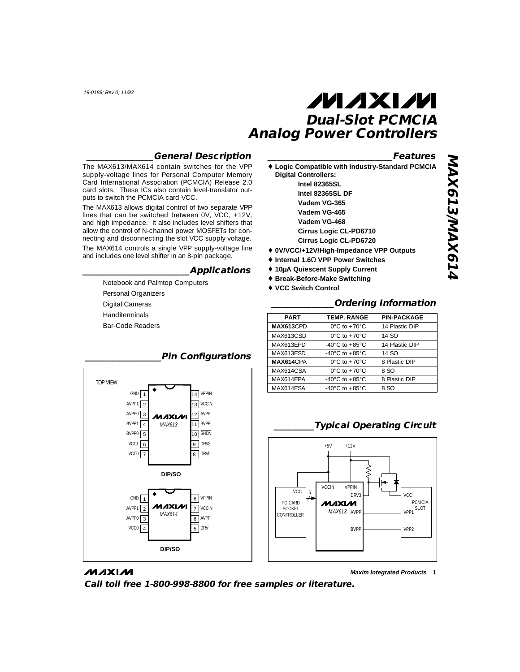### **\_\_\_\_\_\_\_\_\_\_\_\_\_\_\_General Description**

The MAX613/MAX614 contain switches for the VPP supply-voltage lines for Personal Computer Memory Card International Association (PCMCIA) Release 2.0 card slots. These ICs also contain level-translator outputs to switch the PCMCIA card VCC.

The MAX613 allows digital control of two separate VPP lines that can be switched between  $0V$ ,  $VCC$ ,  $+12V$ , and high impedance. It also includes level shifters that allow the control of N-channel power MOSFETs for connecting and disconnecting the slot VCC supply voltage.

The MAX614 controls a single VPP supply-voltage line and includes one level shifter in an 8-pin package.

### **\_\_\_\_\_\_\_\_\_\_\_\_\_\_\_\_\_\_\_\_\_\_\_\_Applications**

Notebook and Palmtop Computers Personal Organizers Digital Cameras Handiterminals Bar-Code Readers



| ♦ Logic Compatible with Industry-Standard PCMCIA<br><b>Digital Controllers:</b> |
|---------------------------------------------------------------------------------|
| <b>Intel 82365SL</b>                                                            |
| Intel 82365SL DF                                                                |
| Vadem VG-365                                                                    |
| Vadem VG-465                                                                    |
| Vadem VG-468                                                                    |
| <b>Cirrus Logic CL-PD6710</b>                                                   |
| <b>Cirrus Logic CL-PD6720</b>                                                   |
| ♦ 0V/VCC/+12V/High-Impedance VPP Outputs                                        |
| $\triangle$ Internal 1.6 $\Omega$ VPP Power Switches                            |
| ↑ 10µA Quiescent Supply Current                                                 |
| ◆ Break-Before-Make Switching                                                   |

♦ **VCC Switch Control**

### **\_\_\_\_\_\_\_\_\_\_\_\_\_\_Ordering Information**

| <b>PART</b>      | <b>TEMP. RANGE</b>                   | <b>PIN-PACKAGE</b> |
|------------------|--------------------------------------|--------------------|
| <b>MAX613CPD</b> | $0^{\circ}$ C to $+70^{\circ}$ C     | 14 Plastic DIP     |
| MAX613CSD        | $0^{\circ}$ C to +70 $^{\circ}$ C    | 14 SO              |
| MAX613EPD        | -40 $^{\circ}$ C to +85 $^{\circ}$ C | 14 Plastic DIP     |
| MAX613ESD        | -40 $^{\circ}$ C to +85 $^{\circ}$ C | 14 SO              |
| MAX614CPA        | $0^{\circ}$ C to +70 $^{\circ}$ C    | 8 Plastic DIP      |
| MAX614CSA        | $0^{\circ}$ C to +70 $^{\circ}$ C    | 8.SO               |
| MAX614EPA        | -40 $^{\circ}$ C to +85 $^{\circ}$ C | 8 Plastic DIP      |
| MAX614ESA        | -40 $^{\circ}$ C to +85 $^{\circ}$ C | 8 SO               |



### **\_\_\_\_\_\_\_\_\_Typical Operating Circuit**

### **MAXIM**

**\_\_\_\_\_\_\_\_\_\_\_\_\_\_\_\_\_\_\_\_\_\_\_\_\_\_\_\_\_\_\_\_\_\_\_\_\_\_\_\_\_\_\_\_\_\_\_\_\_\_\_\_\_\_\_\_\_\_\_\_\_\_\_\_ Maxim Integrated Products 1**

**Call toll free 1-800-998-8800 for free samples or literature.**

### **\_\_\_\_\_\_\_\_\_\_\_\_\_\_\_\_\_Pin Configurations**

**\_\_\_\_\_\_\_\_\_\_\_\_\_\_\_\_\_\_\_\_\_\_\_\_\_\_\_\_Features**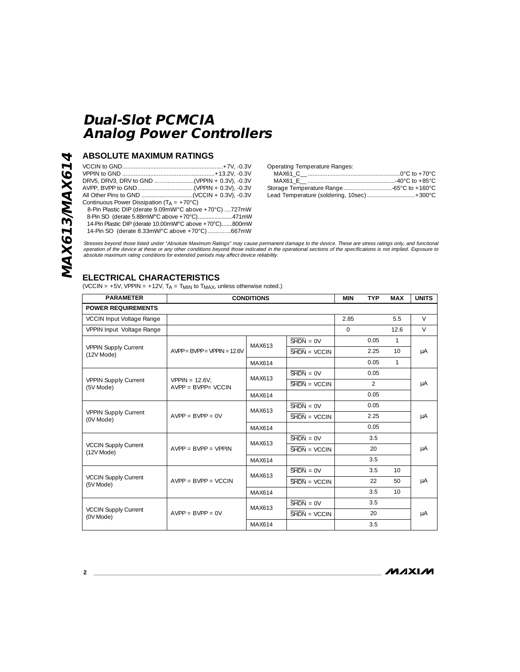### **ABSOLUTE MAXIMUM RATINGS**

| Continuous Power Dissipation ( $TA = +70^{\circ}C$ )    |  |
|---------------------------------------------------------|--|
| 8-Pin Plastic DIP (derate 9.09mW/°C above +70°C) 727mW  |  |
| 8-Pin SO (derate 5.88mW/°C above +70°C)471mW            |  |
| 14-Pin Plastic DIP (derate 10.00mW/°C above +70°C)800mW |  |
| 14-Pin SO (derate 8.33mW/°C above +70°C)667mW           |  |

Operating Temperature Ranges:

| Lead Temperature (soldering, 10sec)  + 300°C |
|----------------------------------------------|

Stresses beyond those listed under "Absolute Maximum Ratings" may cause permanent damage to the device. These are stress ratings only, and functional<br>operation of the device at these or any other conditions beyond those in absolute maximum rating conditions for extended periods may affect device reliability.

## **ELECTRICAL CHARACTERISTICS**

(VCCIN =  $+5V$ , VPPIN =  $+12V$ , TA = T<sub>MIN</sub> to T<sub>MAX</sub>, unless otherwise noted.)

| <b>PARAMETER</b>                            | <b>CONDITIONS</b>                         |                                                                                    | <b>MIN</b>                              | <b>TYP</b> | <b>MAX</b>    | <b>UNITS</b>    |        |
|---------------------------------------------|-------------------------------------------|------------------------------------------------------------------------------------|-----------------------------------------|------------|---------------|-----------------|--------|
| <b>POWER REQUIREMENTS</b>                   |                                           |                                                                                    |                                         |            |               |                 |        |
| <b>VCCIN Input Voltage Range</b>            |                                           |                                                                                    |                                         | 2.85       |               | 5.5             | $\vee$ |
| VPPIN Input Voltage Range                   |                                           |                                                                                    |                                         | $\Omega$   |               | 12.6            | $\vee$ |
|                                             |                                           | MAX613                                                                             | $\overline{\text{SHDN}} = \text{OV}$    |            | 0.05          | $\mathbf{1}$    |        |
| <b>VPPIN Supply Current</b><br>$(12V$ Mode) | $AVPP = BYPP = VPPIN = 12.6V$             |                                                                                    | $\overline{\text{SHDN}} = \text{VCCIN}$ |            | 2.25          | 10 <sup>1</sup> | μA     |
|                                             |                                           | MAX614                                                                             |                                         |            | 0.05          | $\mathbf{1}$    |        |
|                                             |                                           | MAX613                                                                             | $\overline{\text{SHDN}} = \text{OV}$    |            | 0.05          |                 |        |
| <b>VPPIN Supply Current</b><br>(5V Mode)    | $VPPIN = 12.6V.$<br>$AVPP = BVPP = VCCIN$ |                                                                                    | $\overline{\text{SHDN}}$ = VCCIN        |            | $\mathcal{P}$ |                 | μA     |
|                                             |                                           | MAX614                                                                             |                                         |            | 0.05          |                 |        |
|                                             | $AVPP = BVPP = OV$                        | MAX613                                                                             | $\overline{\text{SHDN}} = \text{OV}$    |            | 0.05          |                 | μA     |
| <b>VPPIN Supply Current</b><br>(0V Mode)    |                                           |                                                                                    | $SHDN = VCCIN$                          |            | 2.25          |                 |        |
|                                             |                                           | MAX614                                                                             |                                         |            | 0.05          |                 |        |
|                                             | $AVPP = BVPP = VPPIN$                     | $\overline{\text{SHDN}} = \text{OV}$<br>MAX613<br>$\overline{\text{SHDN}}$ = VCCIN |                                         | 3.5        |               |                 |        |
| <b>VCCIN Supply Current</b><br>$(12V$ Mode) |                                           |                                                                                    |                                         |            | 20            |                 | μA     |
|                                             |                                           | MAX614                                                                             |                                         |            | 3.5           |                 |        |
|                                             |                                           | $SHDN = OV$<br>MAX613                                                              |                                         |            | 3.5           | 10              |        |
| <b>VCCIN Supply Current</b><br>(5V Mode)    | $AVPP = BVPP = VCCIN$                     |                                                                                    | $SHDN = VCCIN$                          |            | 22            | 50              | μA     |
|                                             |                                           | MAX614                                                                             |                                         |            | 3.5           | 10 <sup>1</sup> |        |
|                                             | $AVPP = BVPP = 0V$                        | MAX613                                                                             | $SHDN = OV$                             |            | 3.5           |                 | μA     |
| <b>VCCIN Supply Current</b><br>(0V Mode)    |                                           |                                                                                    | $SHDN = VCCIN$                          |            | 20            |                 |        |
|                                             |                                           | MAX614                                                                             |                                         |            | 3.5           |                 |        |

MAX613/MAX614 **MAX613/MAX614**

 $MMXM$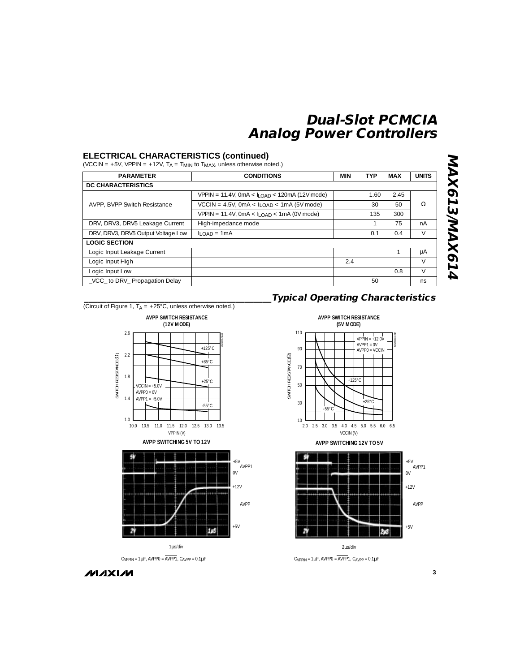### **ELECTRICAL CHARACTERISTICS (continued)**

(VCCIN = +5V, VPPIN = +12V,  $T_A = T_{MIN}$  to  $T_{MAX}$ , unless otherwise noted.)

| <b>PARAMETER</b>                   | <b>CONDITIONS</b>                                              | MIN | <b>TYP</b> | <b>MAX</b> | <b>UNITS</b> |
|------------------------------------|----------------------------------------------------------------|-----|------------|------------|--------------|
| <b>DC CHARACTERISTICS</b>          |                                                                |     |            |            |              |
|                                    | $VPPIN = 11.4V$ , 0mA < $I$ <sub>LOAD</sub> < 120mA (12V mode) |     | 1.60       | 2.45       |              |
| AVPP, BVPP Switch Resistance       | $VCCIN = 4.5V$ , 0mA < $I$ <sub>LOAD</sub> < 1mA (5V mode)     |     | 30         | 50         | Ω            |
|                                    | $VPPIN = 11.4V$ , $OMA < I$ <sub>LOAD</sub> < $1mA$ (0V mode)  |     | 135        | 300        |              |
| DRV, DRV3, DRV5 Leakage Current    | High-impedance mode                                            |     |            | 75         | nA           |
| DRV, DRV3, DRV5 Output Voltage Low | $II$ $OAD = 1mA$                                               |     | 0.1        | 0.4        | $\vee$       |
| <b>LOGIC SECTION</b>               |                                                                |     |            |            |              |
| Logic Input Leakage Current        |                                                                |     |            |            | μA           |
| Logic Input High                   |                                                                | 2.4 |            |            | $\vee$       |
| Logic Input Low                    |                                                                |     |            | 0.8        | $\vee$       |
| VCC to DRV_ Propagation Delay      |                                                                |     | 50         |            | ns           |

(Circuit of Figure 1,  $T_A = +25^{\circ}$ C, unless otherwise noted.)



**AVPP SWITCHING 5V TO 12V**



 $C_{VPPIN} = 1 \mu F$ , AVPP0 =  $\overline{AVPP1}$ ,  $C_{AVPP} = 0.1 \mu F$ 









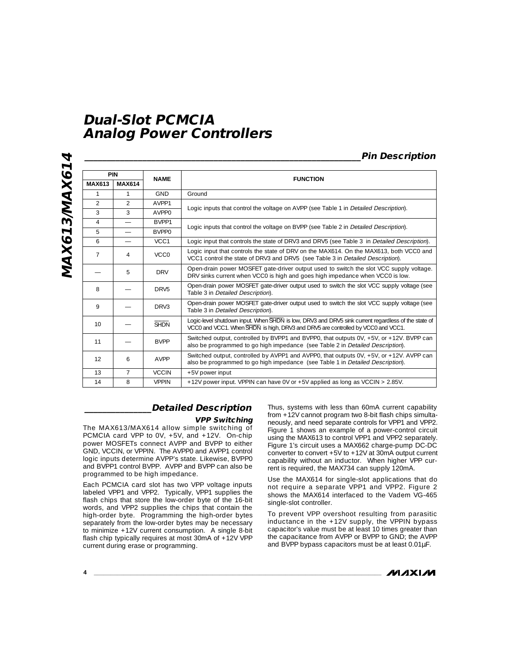**MAX613/MAX614** MAX613/MAX614

|                |                          |                  | <b>Pin Description</b>                                                                                                                                                                  |  |  |
|----------------|--------------------------|------------------|-----------------------------------------------------------------------------------------------------------------------------------------------------------------------------------------|--|--|
| PIN            |                          | <b>NAME</b>      | <b>FUNCTION</b>                                                                                                                                                                         |  |  |
| <b>MAX613</b>  | <b>MAX614</b>            |                  |                                                                                                                                                                                         |  |  |
| 1              | 1                        | <b>GND</b>       | Ground                                                                                                                                                                                  |  |  |
| $\mathfrak{D}$ | $\mathfrak{D}$           | AVPP1            | Logic inputs that control the voltage on AVPP (see Table 1 in Detailed Description).                                                                                                    |  |  |
| 3              | 3                        | AVPP0            |                                                                                                                                                                                         |  |  |
| 4              | $\overline{\phantom{0}}$ | BVPP1            | Logic inputs that control the voltage on BVPP (see Table 2 in Detailed Description).                                                                                                    |  |  |
| 5              |                          | <b>BVPP0</b>     |                                                                                                                                                                                         |  |  |
| 6              |                          | VCC1             | Logic input that controls the state of DRV3 and DRV5 (see Table 3 in Detailed Description).                                                                                             |  |  |
| $\overline{7}$ | 4                        | VCC0             | Logic input that controls the state of DRV on the MAX614. On the MAX613, both VCC0 and<br>VCC1 control the state of DRV3 and DRV5 (see Table 3 in Detailed Description).                |  |  |
|                | 5                        | <b>DRV</b>       | Open-drain power MOSFET gate-driver output used to switch the slot VCC supply voltage.<br>DRV sinks current when VCC0 is high and goes high impedance when VCC0 is low.                 |  |  |
| 8              |                          | DRV <sub>5</sub> | Open-drain power MOSFET gate-driver output used to switch the slot VCC supply voltage (see<br>Table 3 in Detailed Description).                                                         |  |  |
| 9              |                          | DRV <sub>3</sub> | Open-drain power MOSFET gate-driver output used to switch the slot VCC supply voltage (see<br>Table 3 in Detailed Description).                                                         |  |  |
| 10             |                          | <b>SHDN</b>      | Logic-level shutdown input. When SHDN is low, DRV3 and DRV5 sink current regardless of the state of<br>VCC0 and VCC1. When SHDN is high, DRV3 and DRV5 are controlled by VCC0 and VCC1. |  |  |
| 11             |                          | <b>RVPP</b>      | Switched output, controlled by BVPP1 and BVPP0, that outputs 0V, +5V, or +12V. BVPP can<br>also be programmed to go high impedance (see Table 2 in Detailed Description).               |  |  |
| 12             | 6                        | AVPP             | Switched output, controlled by AVPP1 and AVPP0, that outputs 0V, +5V, or +12V. AVPP can<br>also be programmed to go high impedance (see Table 1 in Detailed Description).               |  |  |
| 13             | 7                        | <b>VCCIN</b>     | +5V power input                                                                                                                                                                         |  |  |
| 14             | 8                        | <b>VPPIN</b>     | +12V power input. VPPIN can have 0V or +5V applied as long as VCCIN > 2.85V.                                                                                                            |  |  |

## **\_\_\_\_\_\_\_\_\_\_\_\_\_\_\_Detailed Description**

#### **VPP Switching**

The MAX613/MAX614 allow simple switching of PCMCIA card VPP to 0V, +5V, and +12V. On-chip power MOSFETs connect AVPP and BVPP to either GND, VCCIN, or VPPIN. The AVPP0 and AVPP1 control logic inputs determine AVPP's state. Likewise, BVPP0 and BVPP1 control BVPP. AVPP and BVPP can also be programmed to be high impedance.

Each PCMCIA card slot has two VPP voltage inputs labeled VPP1 and VPP2. Typically, VPP1 supplies the flash chips that store the low-order byte of the 16-bit words, and VPP2 supplies the chips that contain the high-order byte. Programming the high-order bytes separately from the low-order bytes may be necessary to minimize +12V current consumption. A single 8-bit flash chip typically requires at most 30mA of  $+12V$  VPP current during erase or programming.

Thus, systems with less than 60mA current capability from +12V cannot program two 8-bit flash chips simultaneously, and need separate controls for VPP1 and VPP2. Figure 1 shows an example of a power-control circuit using the MAX613 to control VPP1 and VPP2 separately. Figure 1's circuit uses a MAX662 charge-pump DC-DC converter to convert +5V to +12V at 30mA output current capability without an inductor. When higher VPP current is required, the MAX734 can supply 120mA.

Use the MAX614 for single-slot applications that do not require a separate VPP1 and VPP2. Figure 2 shows the MAX614 interfaced to the Vadem VG-465 single-slot controller.

To prevent VPP overshoot resulting from parasitic inductance in the +12V supply, the VPPIN bypass capacitor's value must be at least 10 times greater than the capacitance from AVPP or BVPP to GND; the AVPP and BVPP bypass capacitors must be at least 0.01µF.

**MAXIM**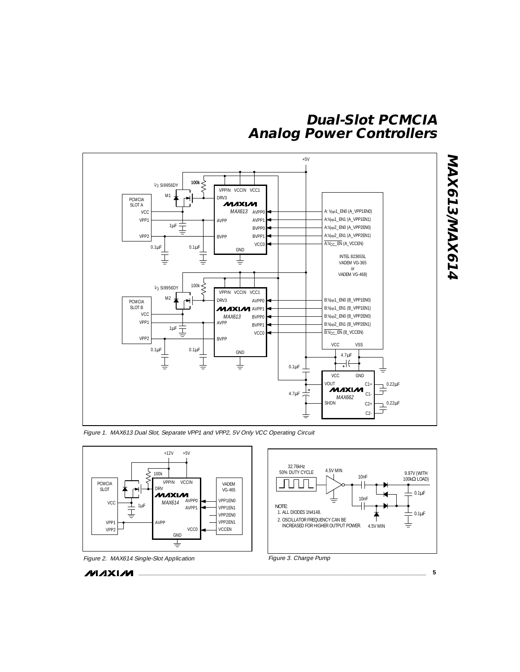

Figure 1. MAX613 Dual Slot, Separate VPP1 and VPP2, 5V Only VCC Operating Circuit





**\_\_\_\_\_\_\_\_\_\_\_\_\_\_\_\_\_\_\_\_\_\_\_\_\_\_\_\_\_\_\_\_\_\_\_\_\_\_\_\_\_\_\_\_\_\_\_\_\_\_\_\_\_\_\_\_\_\_\_\_\_\_\_\_\_\_\_\_\_\_\_\_\_\_\_\_\_\_\_\_\_\_\_\_\_\_\_ 5**

**MAX613/MAX614**

MAX613/MAX614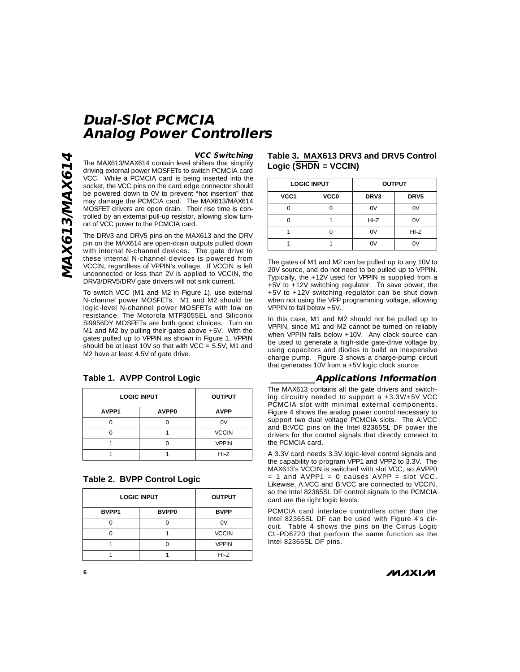#### **VCC Switching**

The MAX613/MAX614 contain level shifters that simplify driving external power MOSFETs to switch PCMCIA card VCC. While a PCMCIA card is being inserted into the socket, the VCC pins on the card edge connector should be powered down to 0V to prevent "hot insertion" that may damage the PCMCIA card. The MAX613/MAX614 MOSFET drivers are open drain. Their rise time is controlled by an external pull-up resistor, allowing slow turnon of VCC power to the PCMCIA card.

**Analog Power Controllers**

**Dual-Slot PCMCIA**

The DRV3 and DRV5 pins on the MAX613 and the DRV pin on the MAX614 are open-drain outputs pulled down with internal N-channel devices. The gate drive to these internal N-channel devices is powered from VCCIN, regardless of VPPIN's voltage. If VCCIN is left unconnected or less than 2V is applied to VCCIN, the DRV3/DRV5/DRV gate drivers will not sink current.

To switch VCC (M1 and M2 in Figure 1), use external N-channel power MOSFETs. M1 and M2 should be logic-level N-channel power MOSFETs with low on resistance. The Motorola MTP3055EL and Siliconix Si9956DY MOSFETs are both good choices. Turn on M1 and M2 by pulling their gates above +5V. With the gates pulled up to VPPIN as shown in Figure 1, VPPIN should be at least 10V so that with  $VCC = 5.5V$ , M1 and M2 have at least 4.5V of gate drive.

#### **Table 1. AVPP Control Logic**

| <b>LOGIC INPUT</b> | <b>OUTPUT</b> |              |
|--------------------|---------------|--------------|
| AVPP1              | AVPP0         | <b>AVPP</b>  |
|                    |               | 0V           |
|                    |               | <b>VCCIN</b> |
|                    |               | <b>VPPIN</b> |
|                    |               | $HI-Z$       |

|  | <b>Table 2. BVPP Control Logic</b> |  |
|--|------------------------------------|--|
|  |                                    |  |

| <b>LOGIC INPUT</b> | <b>OUTPUT</b> |              |
|--------------------|---------------|--------------|
| BVPP1              | <b>BVPP0</b>  | <b>BVPP</b>  |
|                    |               | ωv           |
|                    |               | <b>VCCIN</b> |
|                    |               | <b>VPPIN</b> |
|                    |               | $HI-Z$       |

### **Table 3. MAX613 DRV3 and DRV5 Control** Logic (SHDN = VCCIN)

|      | <b>LOGIC INPUT</b> | <b>OUTPUT</b> |        |
|------|--------------------|---------------|--------|
| VCC1 | <b>VCC0</b>        | DRV3          | DRV5   |
|      |                    | 0V            | 0V     |
|      |                    | $HI-Z$        | 0V     |
|      |                    | 0V            | $HI-Z$ |
|      |                    | ΩV            | ΩV     |

The gates of M1 and M2 can be pulled up to any 10V to 20V source, and do not need to be pulled up to VPPIN. Typically, the +12V used for VPPIN is supplied from a +5V to +12V switching regulator. To save power, the +5V to +12V switching regulator can be shut down when not using the VPP programming voltage, allowing VPPIN to fall below +5V.

In this case, M1 and M2 should not be pulled up to VPPIN, since M1 and M2 cannot be turned on reliably when VPPIN falls below +10V. Any clock source can be used to generate a high-side gate-drive voltage by using capacitors and diodes to build an inexpensive charge pump. Figure 3 shows a charge-pump circuit that generates 10V from a +5V logic clock source.

#### **\_\_\_\_\_\_\_\_\_\_Applications Information**

The MAX613 contains all the gate drivers and switching circuitry needed to support a  $+3.3V/+5V$  VCC PCMCIA slot with minimal external components. Figure 4 shows the analog power control necessary to support two dual voltage PCMCIA slots. The A:VCC and B:VCC pins on the Intel 82365SL DF power the drivers for the control signals that directly connect to the PCMCIA card.

A 3.3V card needs 3.3V logic-level control signals and the capability to program VPP1 and VPP2 to 3.3V. The MAX613's VCCIN is switched with slot VCC, so AVPP0  $= 1$  and AVPP1 = 0 causes AVPP = slot VCC. Likewise, A:VCC and B:VCC are connected to VCCIN, so the Intel 82365SL DF control signals to the PCMCIA card are the right logic levels.

PCMCIA card interface controllers other than the Intel 82365SL DF can be used with Figure 4's circuit. Table 4 shows the pins on the Cirrus Logic CL-PD6720 that perform the same function as the Intel 82365SL DF pins.

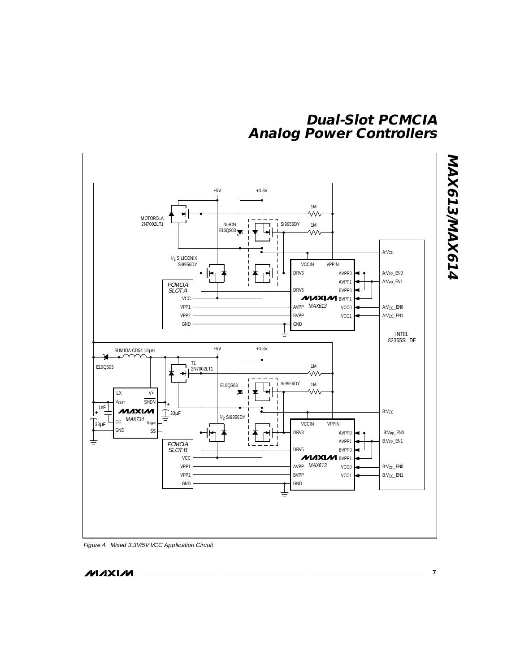

Figure 4. Mixed 3.3V/5V VCC Application Circuit

**MAXIM**